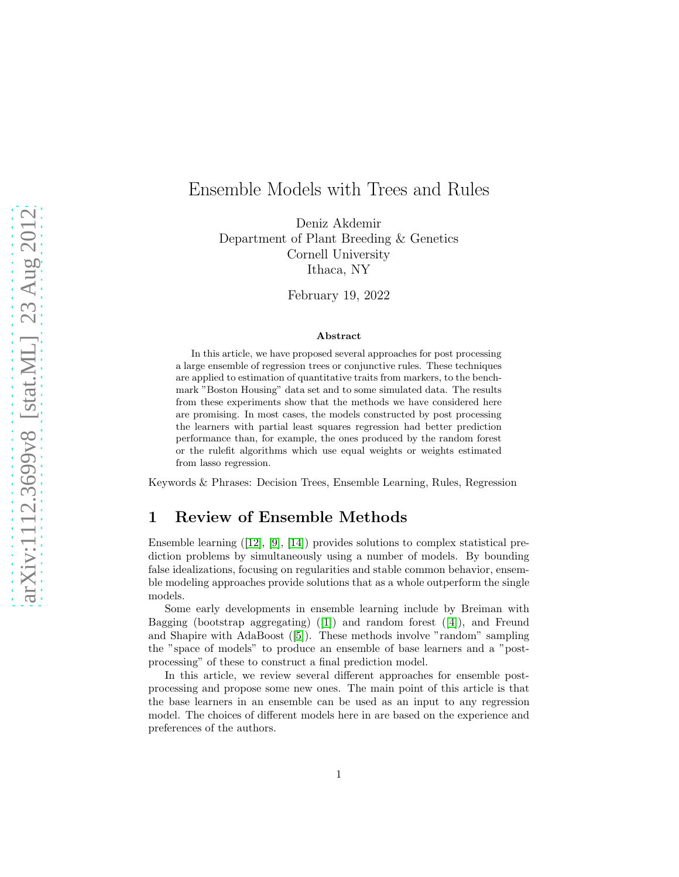# Ensemble Models with Trees and Rules

Deniz Akdemir Department of Plant Breeding & Genetics Cornell University Ithaca, NY

February 19, 2022

#### Abstract

In this article, we have proposed several approaches for post processing a large ensemble of regression trees or conjunctive rules. These techniques are applied to estimation of quantitative traits from markers, to the benchmark "Boston Housing" data set and to some simulated data. The results from these experiments show that the methods we have considered here are promising. In most cases, the models constructed by post processing the learners with partial least squares regression had better prediction performance than, for example, the ones produced by the random forest or the rulefit algorithms which use equal weights or weights estimated from lasso regression.

Keywords & Phrases: Decision Trees, Ensemble Learning, Rules, Regression

# 1 Review of Ensemble Methods

Ensemble learning ([\[12\]](#page-12-0), [\[9\]](#page-12-1), [\[14\]](#page-12-2)) provides solutions to complex statistical prediction problems by simultaneously using a number of models. By bounding false idealizations, focusing on regularities and stable common behavior, ensemble modeling approaches provide solutions that as a whole outperform the single models.

Some early developments in ensemble learning include by Breiman with Bagging (bootstrap aggregating) ([\[1\]](#page-11-0)) and random forest ([\[4\]](#page-11-1)), and Freund and Shapire with AdaBoost ([\[5\]](#page-11-2)). These methods involve "random" sampling the "space of models" to produce an ensemble of base learners and a "postprocessing" of these to construct a final prediction model.

In this article, we review several different approaches for ensemble postprocessing and propose some new ones. The main point of this article is that the base learners in an ensemble can be used as an input to any regression model. The choices of different models here in are based on the experience and preferences of the authors.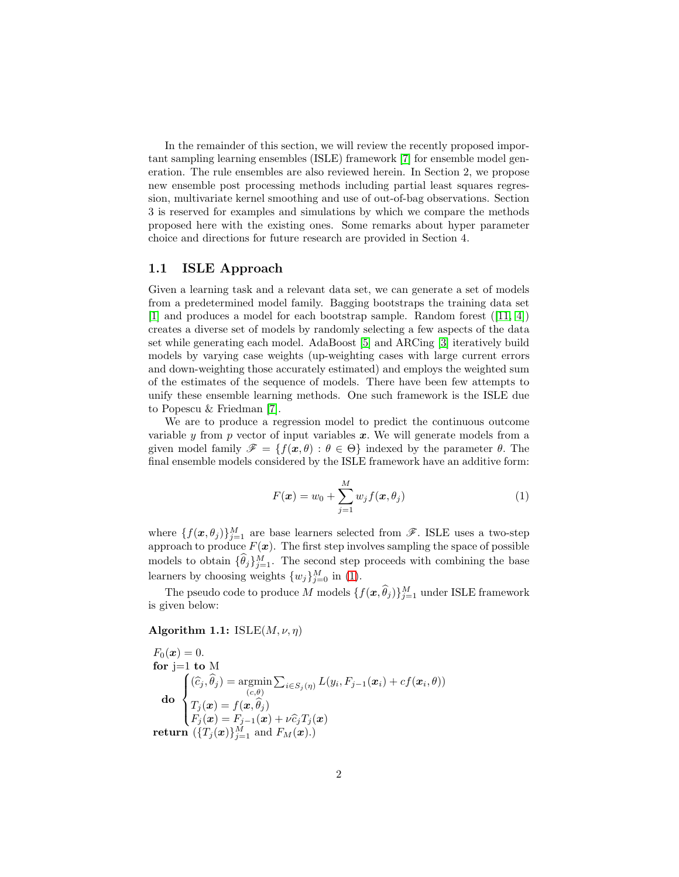In the remainder of this section, we will review the recently proposed important sampling learning ensembles (ISLE) framework [\[7\]](#page-11-3) for ensemble model generation. The rule ensembles are also reviewed herein. In Section 2, we propose new ensemble post processing methods including partial least squares regression, multivariate kernel smoothing and use of out-of-bag observations. Section 3 is reserved for examples and simulations by which we compare the methods proposed here with the existing ones. Some remarks about hyper parameter choice and directions for future research are provided in Section 4.

### 1.1 ISLE Approach

Given a learning task and a relevant data set, we can generate a set of models from a predetermined model family. Bagging bootstraps the training data set [\[1\]](#page-11-0) and produces a model for each bootstrap sample. Random forest ([\[11,](#page-12-3) [4\]](#page-11-1)) creates a diverse set of models by randomly selecting a few aspects of the data set while generating each model. AdaBoost [\[5\]](#page-11-2) and ARCing [\[3\]](#page-11-4) iteratively build models by varying case weights (up-weighting cases with large current errors and down-weighting those accurately estimated) and employs the weighted sum of the estimates of the sequence of models. There have been few attempts to unify these ensemble learning methods. One such framework is the ISLE due to Popescu & Friedman [\[7\]](#page-11-3).

We are to produce a regression model to predict the continuous outcome variable  $\gamma$  from p vector of input variables  $\boldsymbol{x}$ . We will generate models from a given model family  $\mathscr{F} = \{f(x, \theta) : \theta \in \Theta\}$  indexed by the parameter  $\theta$ . The final ensemble models considered by the ISLE framework have an additive form:

<span id="page-1-0"></span>
$$
F(\boldsymbol{x}) = w_0 + \sum_{j=1}^{M} w_j f(\boldsymbol{x}, \theta_j)
$$
\n(1)

where  $\{f(\bm{x}, \theta_j)\}_{j=1}^M$  are base learners selected from  $\mathscr{F}$ . ISLE uses a two-step approach to produce  $F(x)$ . The first step involves sampling the space of possible models to obtain  $\{\hat{\theta}_j\}_{j=1}^M$ . The second step proceeds with combining the base learners by choosing weights  $\{w_j\}_{j=0}^M$  in [\(1\)](#page-1-0).

The pseudo code to produce M models  $\{f(\bm{x}, \hat{\theta}_j)\}_{j=1}^M$  under ISLE framework is given below:

#### Algorithm 1.1:  $ISLE(M, \nu, \eta)$

 $F_0(x) = 0.$ for  $i=1$  to M do  $\sqrt{ }$  $\Big\}$  $\overline{\phantom{a}}$  $(\widehat{c}_j, \theta_j) = \operatorname*{argmin}_{(c,\theta)}$  $\sum_{i \in S_j(\eta)} L(y_i, F_{j-1}(\boldsymbol{x}_i) + cf(\boldsymbol{x}_i, \theta))$  $T_j(\boldsymbol{x}) = f(\boldsymbol{x}, \theta_j)$  $F_j(\boldsymbol{x}) = F_{j-1}(\boldsymbol{x}) + \nu \widehat{c}_j T_j(\boldsymbol{x})$ return  $(\{T_j(\boldsymbol{x})\}_{j=1}^M \text{ and } F_M(\boldsymbol{x}).)$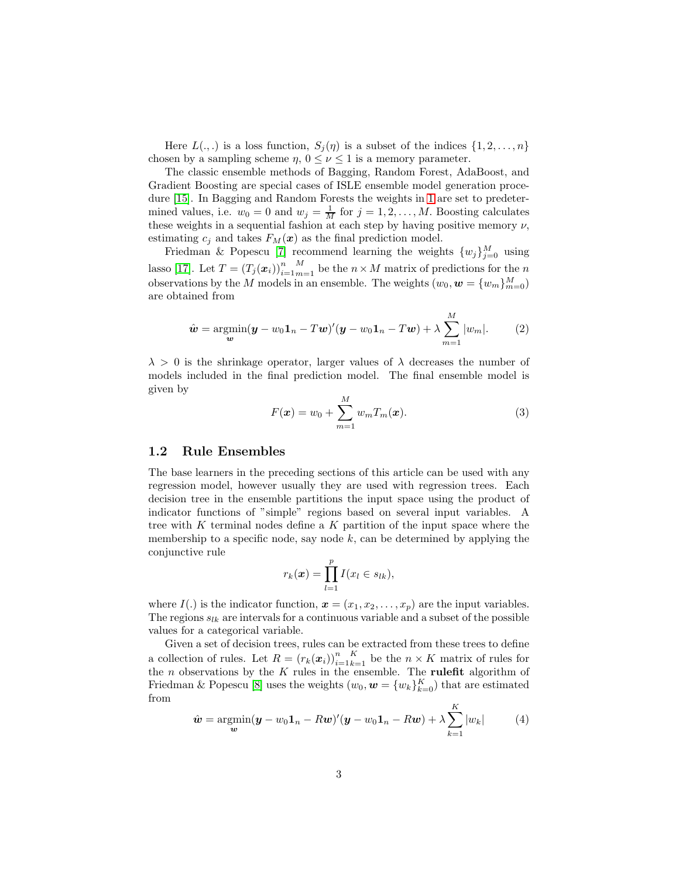Here  $L(.,.)$  is a loss function,  $S_j(\eta)$  is a subset of the indices  $\{1, 2, \ldots, n\}$ chosen by a sampling scheme  $\eta$ ,  $0 \leq \nu \leq 1$  is a memory parameter.

The classic ensemble methods of Bagging, Random Forest, AdaBoost, and Gradient Boosting are special cases of ISLE ensemble model generation procedure [\[15\]](#page-12-4). In Bagging and Random Forests the weights in [1](#page-1-0) are set to predetermined values, i.e.  $w_0 = 0$  and  $w_j = \frac{1}{M}$  for  $j = 1, 2, ..., M$ . Boosting calculates these weights in a sequential fashion at each step by having positive memory  $\nu$ , estimating  $c_i$  and takes  $F_M(x)$  as the final prediction model.

Friedman & Popescu [\[7\]](#page-11-3) recommend learning the weights  $\{w_j\}_{j=0}^M$  using lasso [\[17\]](#page-12-5). Let  $T = (T_j(\bm{x}_i))_{i=1}^n$  $\binom{M}{m=1}$  be the  $n \times M$  matrix of predictions for the n observations by the M models in an ensemble. The weights  $(w_0, \mathbf{w} = \{w_m\}_{m=0}^M)$ are obtained from

<span id="page-2-0"></span>
$$
\hat{\boldsymbol{w}} = \underset{\boldsymbol{w}}{\operatorname{argmin}} (\boldsymbol{y} - w_0 \boldsymbol{1}_n - T \boldsymbol{w})' (\boldsymbol{y} - w_0 \boldsymbol{1}_n - T \boldsymbol{w}) + \lambda \sum_{m=1}^M |w_m|.
$$
 (2)

 $\lambda > 0$  is the shrinkage operator, larger values of  $\lambda$  decreases the number of models included in the final prediction model. The final ensemble model is given by

$$
F(\boldsymbol{x}) = w_0 + \sum_{m=1}^{M} w_m T_m(\boldsymbol{x}).
$$
\n(3)

#### 1.2 Rule Ensembles

The base learners in the preceding sections of this article can be used with any regression model, however usually they are used with regression trees. Each decision tree in the ensemble partitions the input space using the product of indicator functions of "simple" regions based on several input variables. A tree with K terminal nodes define a K partition of the input space where the membership to a specific node, say node  $k$ , can be determined by applying the conjunctive rule

$$
r_k(\boldsymbol{x}) = \prod_{l=1}^p I(x_l \in s_{lk}),
$$

where  $I(.)$  is the indicator function,  $\boldsymbol{x} = (x_1, x_2, \ldots, x_p)$  are the input variables. The regions  $s_{lk}$  are intervals for a continuous variable and a subset of the possible values for a categorical variable.

Given a set of decision trees, rules can be extracted from these trees to define a collection of rules. Let  $R = (r_k(\boldsymbol{x}_i))_{i=1}^n$  $K_{k=1}$  be the  $n \times K$  matrix of rules for the  $n$  observations by the  $K$  rules in the ensemble. The **rulefit** algorithm of Friedman & Popescu [\[8\]](#page-12-6) uses the weights  $(w_0, \boldsymbol{w}) = \{w_k\}_{k=0}^K$  that are estimated from

<span id="page-2-1"></span>
$$
\hat{\boldsymbol{w}} = \operatorname*{argmin}_{\boldsymbol{w}} (\boldsymbol{y} - w_0 \mathbf{1}_n - R \boldsymbol{w})' (\boldsymbol{y} - w_0 \mathbf{1}_n - R \boldsymbol{w}) + \lambda \sum_{k=1}^K |w_k| \tag{4}
$$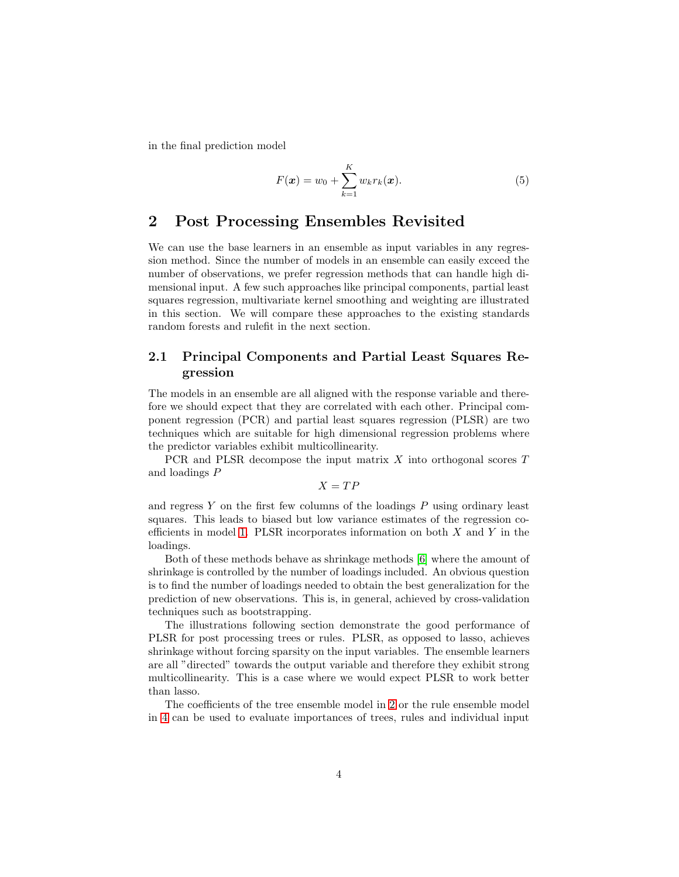in the final prediction model

$$
F(\mathbf{x}) = w_0 + \sum_{k=1}^{K} w_k r_k(\mathbf{x}).
$$
 (5)

# 2 Post Processing Ensembles Revisited

We can use the base learners in an ensemble as input variables in any regression method. Since the number of models in an ensemble can easily exceed the number of observations, we prefer regression methods that can handle high dimensional input. A few such approaches like principal components, partial least squares regression, multivariate kernel smoothing and weighting are illustrated in this section. We will compare these approaches to the existing standards random forests and rulefit in the next section.

### 2.1 Principal Components and Partial Least Squares Regression

The models in an ensemble are all aligned with the response variable and therefore we should expect that they are correlated with each other. Principal component regression (PCR) and partial least squares regression (PLSR) are two techniques which are suitable for high dimensional regression problems where the predictor variables exhibit multicollinearity.

PCR and PLSR decompose the input matrix X into orthogonal scores T and loadings P

 $X = TP$ 

and regress  $Y$  on the first few columns of the loadings  $P$  using ordinary least squares. This leads to biased but low variance estimates of the regression co-efficients in model [1.](#page-1-0) PLSR incorporates information on both  $X$  and  $Y$  in the loadings.

Both of these methods behave as shrinkage methods [\[6\]](#page-11-5) where the amount of shrinkage is controlled by the number of loadings included. An obvious question is to find the number of loadings needed to obtain the best generalization for the prediction of new observations. This is, in general, achieved by cross-validation techniques such as bootstrapping.

The illustrations following section demonstrate the good performance of PLSR for post processing trees or rules. PLSR, as opposed to lasso, achieves shrinkage without forcing sparsity on the input variables. The ensemble learners are all "directed" towards the output variable and therefore they exhibit strong multicollinearity. This is a case where we would expect PLSR to work better than lasso.

The coefficients of the tree ensemble model in [2](#page-2-0) or the rule ensemble model in [4](#page-2-1) can be used to evaluate importances of trees, rules and individual input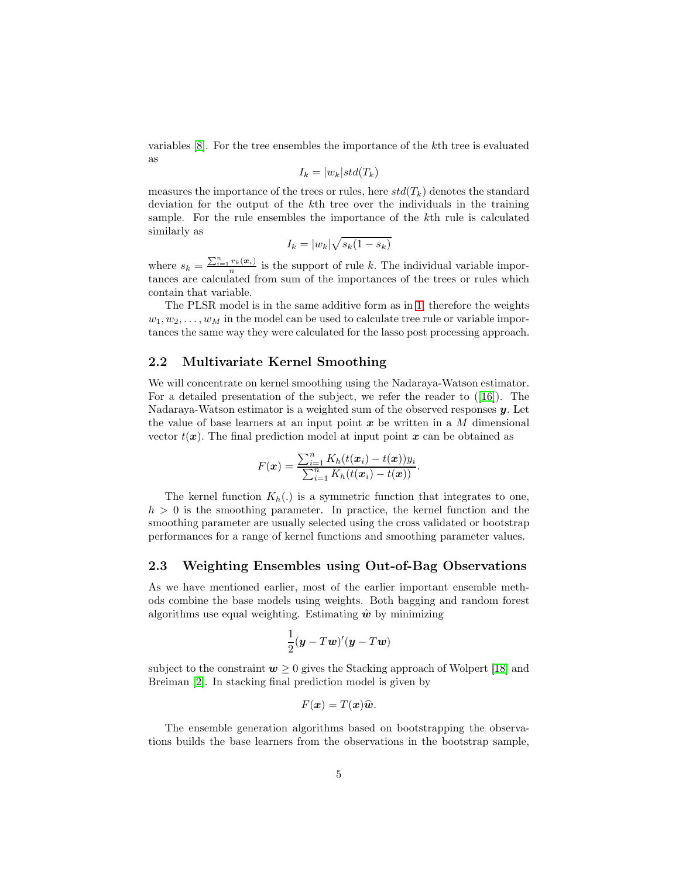variables [\[8\]](#page-12-6). For the tree ensembles the importance of the kth tree is evaluated as

$$
I_k = |w_k| std(T_k)
$$

measures the importance of the trees or rules, here  $std(T_k)$  denotes the standard deviation for the output of the kth tree over the individuals in the training sample. For the rule ensembles the importance of the kth rule is calculated similarly as

$$
I_k = |w_k| \sqrt{s_k(1 - s_k)}
$$

where  $s_k = \frac{\sum_{i=1}^n r_k(x_i)}{n}$  is the support of rule k. The individual variable importances are calculated from sum of the importances of the trees or rules which contain that variable.

The PLSR model is in the same additive form as in [1,](#page-1-0) therefore the weights  $w_1, w_2, \ldots, w_M$  in the model can be used to calculate tree rule or variable importances the same way they were calculated for the lasso post processing approach.

### 2.2 Multivariate Kernel Smoothing

We will concentrate on kernel smoothing using the Nadaraya-Watson estimator. For a detailed presentation of the subject, we refer the reader to ([\[16\]](#page-12-7)). The Nadaraya-Watson estimator is a weighted sum of the observed responses  $\boldsymbol{\mathit{u}}$ . Let the value of base learners at an input point  $x$  be written in a M dimensional vector  $t(x)$ . The final prediction model at input point x can be obtained as

$$
F(\boldsymbol{x}) = \frac{\sum_{i=1}^{n} K_h(t(\boldsymbol{x}_i) - t(\boldsymbol{x})) y_i}{\sum_{i=1}^{n} K_h(t(\boldsymbol{x}_i) - t(\boldsymbol{x}))}.
$$

The kernel function  $K_h(.)$  is a symmetric function that integrates to one,  $h > 0$  is the smoothing parameter. In practice, the kernel function and the smoothing parameter are usually selected using the cross validated or bootstrap performances for a range of kernel functions and smoothing parameter values.

### 2.3 Weighting Ensembles using Out-of-Bag Observations

As we have mentioned earlier, most of the earlier important ensemble methods combine the base models using weights. Both bagging and random forest algorithms use equal weighting. Estimating  $\hat{w}$  by minimizing

$$
\frac{1}{2}(\boldsymbol{y} - T\boldsymbol{w})'(\boldsymbol{y} - T\boldsymbol{w})
$$

subject to the constraint  $w \geq 0$  gives the Stacking approach of Wolpert [\[18\]](#page-12-8) and Breiman [\[2\]](#page-11-6). In stacking final prediction model is given by

$$
F(\boldsymbol{x})=T(\boldsymbol{x})\widehat{\boldsymbol{w}}.
$$

The ensemble generation algorithms based on bootstrapping the observations builds the base learners from the observations in the bootstrap sample,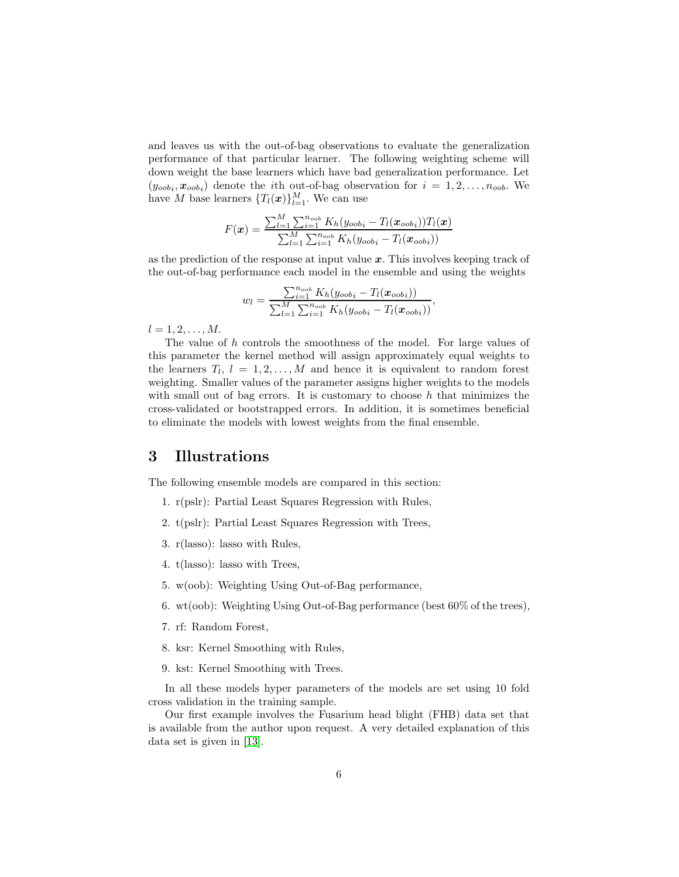and leaves us with the out-of-bag observations to evaluate the generalization performance of that particular learner. The following weighting scheme will down weight the base learners which have bad generalization performance. Let  $(y_{\text{oobj}}, x_{\text{oobj}})$  denote the *i*th out-of-bag observation for  $i = 1, 2, ..., n_{\text{oobj}}$ . We have M base learners  $\{T_l(\boldsymbol{x})\}_{l=1}^M$ . We can use

$$
F(\boldsymbol{x}) = \frac{\sum_{l=1}^{M} \sum_{i=1}^{n_{oob}} K_h(y_{oob_i} - T_l(\boldsymbol{x}_{oob_i})) T_l(\boldsymbol{x})}{\sum_{l=1}^{M} \sum_{i=1}^{n_{oob}} K_h(y_{oob_i} - T_l(\boldsymbol{x}_{oob_i}))}
$$

as the prediction of the response at input value  $x$ . This involves keeping track of the out-of-bag performance each model in the ensemble and using the weights

$$
w_l = \frac{\sum_{i=1}^{n_{oob}} K_h(y_{oob_i} - T_l(\boldsymbol{x}_{oob_i}))}{\sum_{l=1}^{M} \sum_{i=1}^{n_{oob}} K_h(y_{oob_i} - T_l(\boldsymbol{x}_{oob_i}))},
$$

 $l = 1, 2, \ldots, M$ .

The value of h controls the smoothness of the model. For large values of this parameter the kernel method will assign approximately equal weights to the learners  $T_l$ ,  $l = 1, 2, ..., M$  and hence it is equivalent to random forest weighting. Smaller values of the parameter assigns higher weights to the models with small out of bag errors. It is customary to choose  $h$  that minimizes the cross-validated or bootstrapped errors. In addition, it is sometimes beneficial to eliminate the models with lowest weights from the final ensemble.

# 3 Illustrations

The following ensemble models are compared in this section:

- 1. r(pslr): Partial Least Squares Regression with Rules,
- 2. t(pslr): Partial Least Squares Regression with Trees,
- 3. r(lasso): lasso with Rules,
- 4. t(lasso): lasso with Trees,
- 5. w(oob): Weighting Using Out-of-Bag performance,
- 6. wt(oob): Weighting Using Out-of-Bag performance (best 60% of the trees),
- 7. rf: Random Forest,
- 8. ksr: Kernel Smoothing with Rules,
- 9. kst: Kernel Smoothing with Trees.

In all these models hyper parameters of the models are set using 10 fold cross validation in the training sample.

Our first example involves the Fusarium head blight (FHB) data set that is available from the author upon request. A very detailed explanation of this data set is given in [\[13\]](#page-12-9).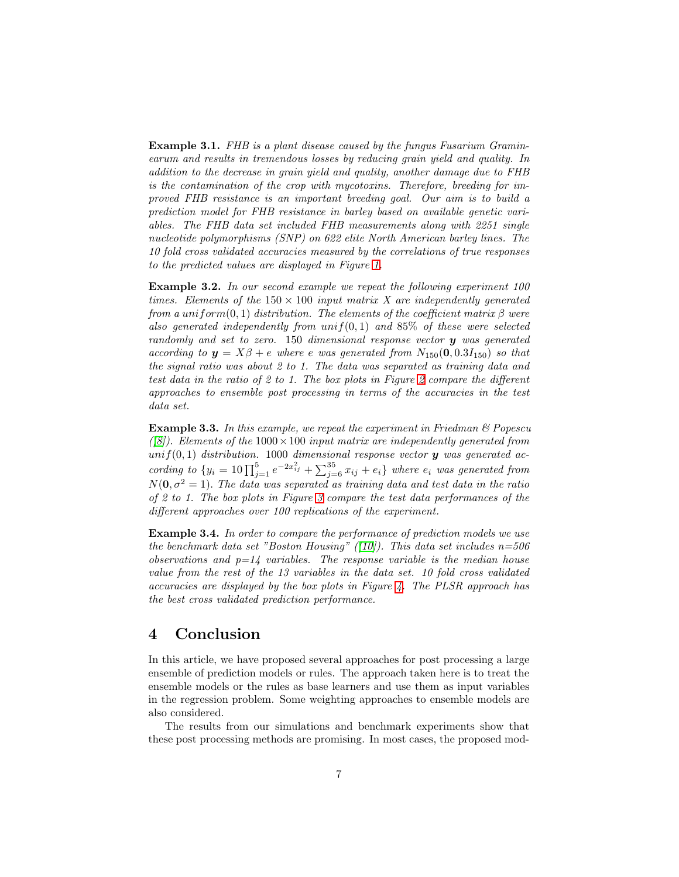Example 3.1. FHB is a plant disease caused by the fungus Fusarium Graminearum and results in tremendous losses by reducing grain yield and quality. In addition to the decrease in grain yield and quality, another damage due to FHB is the contamination of the crop with mycotoxins. Therefore, breeding for improved FHB resistance is an important breeding goal. Our aim is to build a prediction model for FHB resistance in barley based on available genetic variables. The FHB data set included FHB measurements along with 2251 single nucleotide polymorphisms (SNP) on 622 elite North American barley lines. The 10 fold cross validated accuracies measured by the correlations of true responses to the predicted values are displayed in Figure [1.](#page-7-0)

<span id="page-6-0"></span>Example 3.2. In our second example we repeat the following experiment 100 times. Elements of the  $150 \times 100$  input matrix X are independently generated from a uniform(0, 1) distribution. The elements of the coefficient matrix  $\beta$  were also generated independently from  $unif(0,1)$  and 85% of these were selected randomly and set to zero. 150 dimensional response vector  $y$  was generated according to  $y = X\beta + e$  where e was generated from  $N_{150}(0, 0.3I_{150})$  so that the signal ratio was about 2 to 1. The data was separated as training data and test data in the ratio of 2 to 1. The box plots in Figure [2](#page-8-0) compare the different approaches to ensemble post processing in terms of the accuracies in the test data set.

<span id="page-6-1"></span>**Example 3.3.** In this example, we repeat the experiment in Friedman  $\mathcal{B}$  Popescu ([\[8\]](#page-12-6)). Elements of the  $1000 \times 100$  input matrix are independently generated from unif(0,1) distribution. 1000 dimensional response vector  $y$  was generated according to  $\{y_i = 10 \prod_{j=1}^5 e^{-2x_{ij}^2} + \sum_{j=6}^{35} x_{ij} + e_i\}$  where  $e_i$  was generated from  $N(0, \sigma^2 = 1)$ . The data was separated as training data and test data in the ratio of 2 to 1. The box plots in Figure [3](#page-9-0) compare the test data performances of the different approaches over 100 replications of the experiment.

Example 3.4. In order to compare the performance of prediction models we use the benchmark data set "Boston Housing" ([\[10\]](#page-12-10)). This data set includes  $n=506$ observations and  $p=14$  variables. The response variable is the median house value from the rest of the 13 variables in the data set. 10 fold cross validated accuracies are displayed by the box plots in Figure  $\lambda$ . The PLSR approach has the best cross validated prediction performance.

# 4 Conclusion

In this article, we have proposed several approaches for post processing a large ensemble of prediction models or rules. The approach taken here is to treat the ensemble models or the rules as base learners and use them as input variables in the regression problem. Some weighting approaches to ensemble models are also considered.

The results from our simulations and benchmark experiments show that these post processing methods are promising. In most cases, the proposed mod-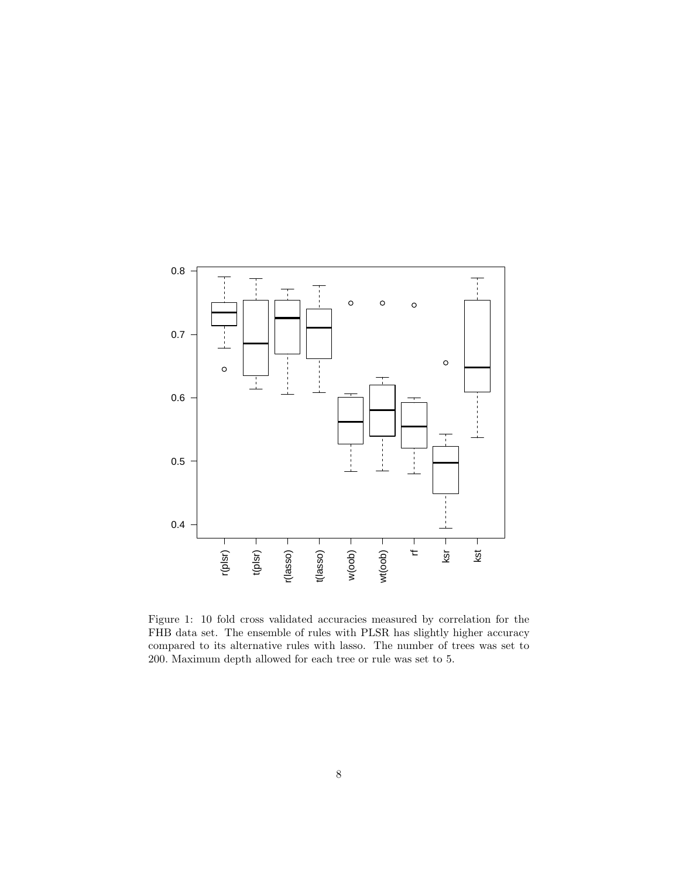

<span id="page-7-0"></span>Figure 1: 10 fold cross validated accuracies measured by correlation for the FHB data set. The ensemble of rules with PLSR has slightly higher accuracy compared to its alternative rules with lasso. The number of trees was set to 200. Maximum depth allowed for each tree or rule was set to 5.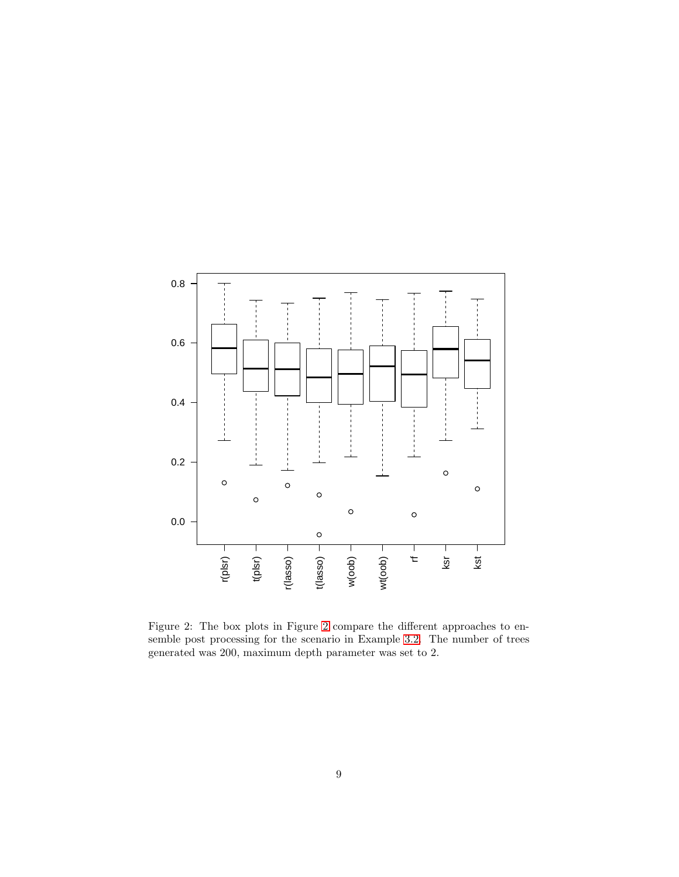

<span id="page-8-0"></span>Figure 2: The box plots in Figure [2](#page-8-0) compare the different approaches to ensemble post processing for the scenario in Example [3.2.](#page-6-0) The number of trees generated was 200, maximum depth parameter was set to 2.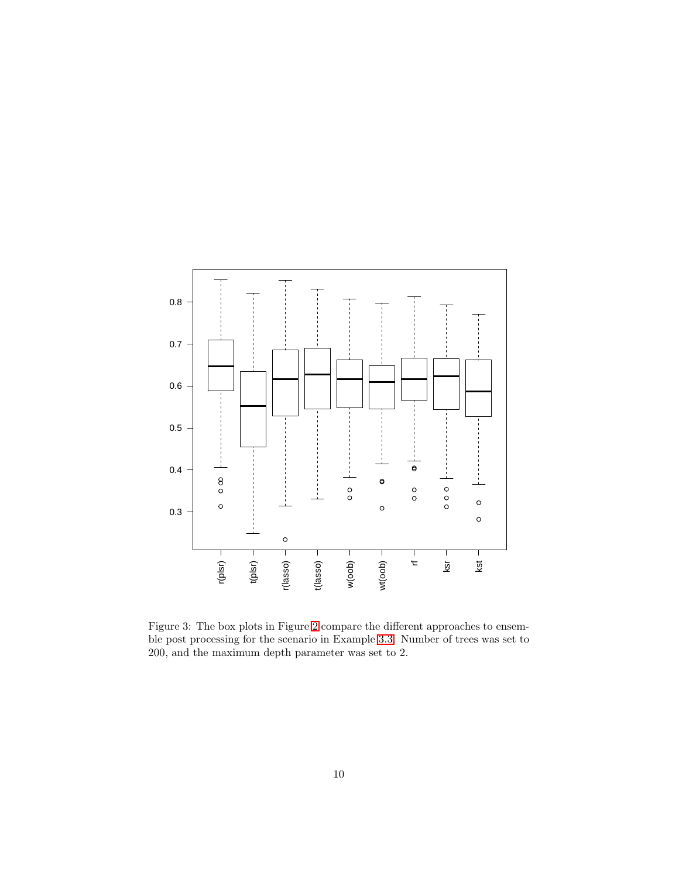

<span id="page-9-0"></span>Figure 3: The box plots in Figure [2](#page-8-0) compare the different approaches to ensemble post processing for the scenario in Example [3.3.](#page-6-1) Number of trees was set to 200, and the maximum depth parameter was set to 2.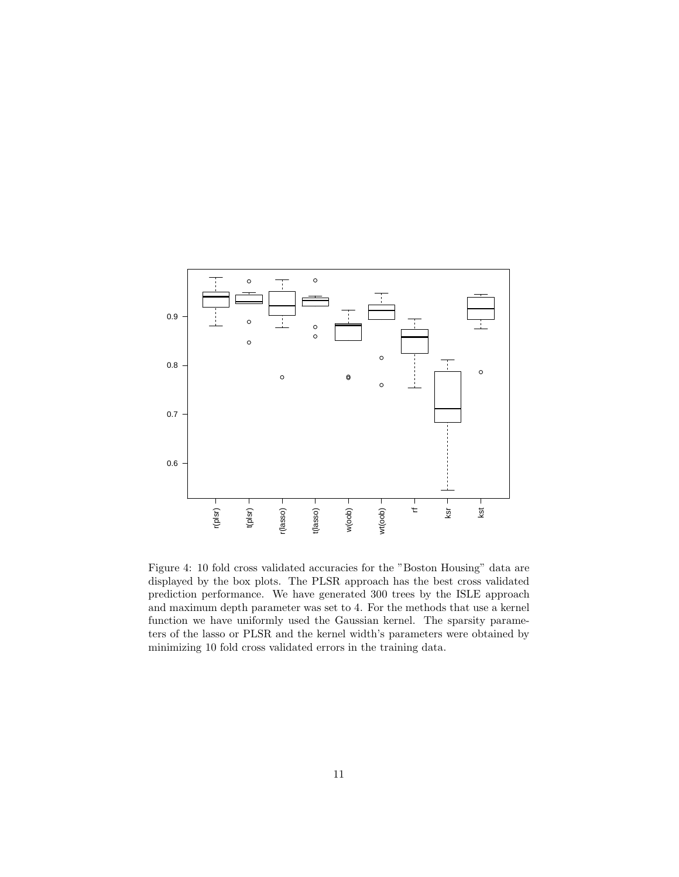

<span id="page-10-0"></span>Figure 4: 10 fold cross validated accuracies for the "Boston Housing" data are displayed by the box plots. The PLSR approach has the best cross validated prediction performance. We have generated 300 trees by the ISLE approach and maximum depth parameter was set to 4. For the methods that use a kernel function we have uniformly used the Gaussian kernel. The sparsity parameters of the lasso or PLSR and the kernel width's parameters were obtained by minimizing 10 fold cross validated errors in the training data.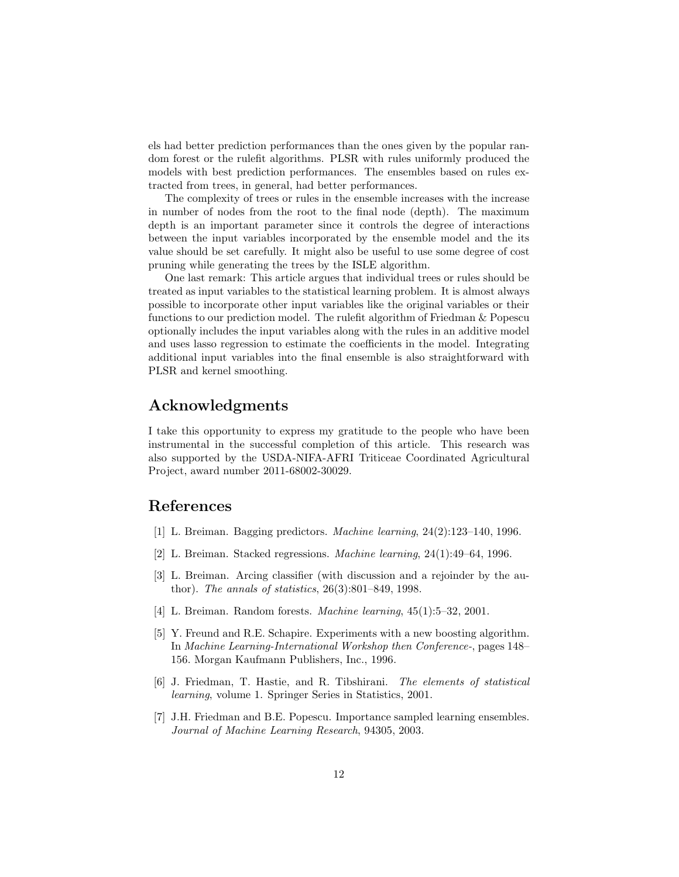els had better prediction performances than the ones given by the popular random forest or the rulefit algorithms. PLSR with rules uniformly produced the models with best prediction performances. The ensembles based on rules extracted from trees, in general, had better performances.

The complexity of trees or rules in the ensemble increases with the increase in number of nodes from the root to the final node (depth). The maximum depth is an important parameter since it controls the degree of interactions between the input variables incorporated by the ensemble model and the its value should be set carefully. It might also be useful to use some degree of cost pruning while generating the trees by the ISLE algorithm.

One last remark: This article argues that individual trees or rules should be treated as input variables to the statistical learning problem. It is almost always possible to incorporate other input variables like the original variables or their functions to our prediction model. The rulefit algorithm of Friedman & Popescu optionally includes the input variables along with the rules in an additive model and uses lasso regression to estimate the coefficients in the model. Integrating additional input variables into the final ensemble is also straightforward with PLSR and kernel smoothing.

# Acknowledgments

I take this opportunity to express my gratitude to the people who have been instrumental in the successful completion of this article. This research was also supported by the USDA-NIFA-AFRI Triticeae Coordinated Agricultural Project, award number 2011-68002-30029.

# <span id="page-11-0"></span>References

- <span id="page-11-6"></span>[1] L. Breiman. Bagging predictors. Machine learning, 24(2):123–140, 1996.
- <span id="page-11-4"></span>[2] L. Breiman. Stacked regressions. Machine learning, 24(1):49–64, 1996.
- [3] L. Breiman. Arcing classifier (with discussion and a rejoinder by the author). The annals of statistics, 26(3):801–849, 1998.
- <span id="page-11-2"></span><span id="page-11-1"></span>[4] L. Breiman. Random forests. Machine learning, 45(1):5–32, 2001.
- [5] Y. Freund and R.E. Schapire. Experiments with a new boosting algorithm. In Machine Learning-International Workshop then Conference-, pages 148– 156. Morgan Kaufmann Publishers, Inc., 1996.
- <span id="page-11-5"></span>[6] J. Friedman, T. Hastie, and R. Tibshirani. The elements of statistical learning, volume 1. Springer Series in Statistics, 2001.
- <span id="page-11-3"></span>[7] J.H. Friedman and B.E. Popescu. Importance sampled learning ensembles. Journal of Machine Learning Research, 94305, 2003.